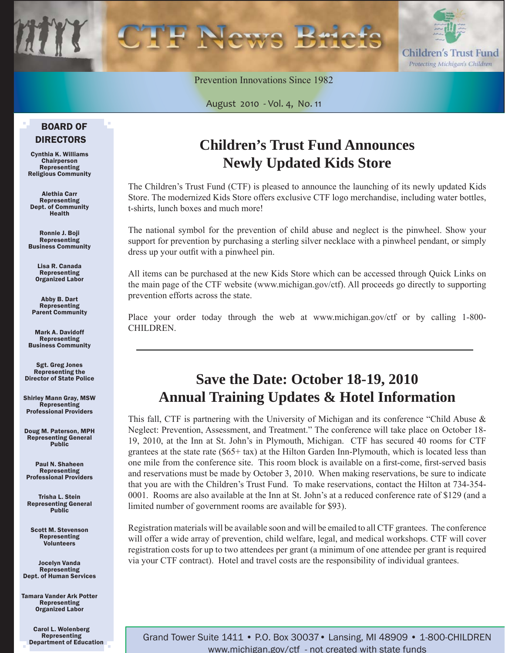

Prevention Innovations Since 1982

August 2010 - Vol. 4, No. 11

### BOARD OF DIRECTORS

Cynthia K. Williams Chairperson Representing Religious Community

Alethia Carr Representing Dept. of Community Health

Ronnie J. Boji Representing Business Community

> Lisa R. Canada Representing Organized Labor

Abby B. Dart Representing Parent Community

Mark A. Davidoff Representing Business Community

Sgt. Greg Jones Representing the Director of State Police

Shirley Mann Gray, MSW **Representing** Professional Providers

Doug M. Paterson, MPH Representing General Public

Paul N. Shaheen Representing Professional Providers

Trisha L. Stein Representing General Public

Scott M. Stevenson Representing Volunteers

Jocelyn Vanda Representing Dept. of Human Services

Tamara Vander Ark Potter Representing Organized Labor

> Carol L. Wolenberg Representing Department of Education

### **Children's Trust Fund Announces Newly Updated Kids Store**

The Children's Trust Fund (CTF) is pleased to announce the launching of its newly updated Kids Store. The modernized Kids Store offers exclusive CTF logo merchandise, including water bottles, t-shirts, lunch boxes and much more!

The national symbol for the prevention of child abuse and neglect is the pinwheel. Show your support for prevention by purchasing a sterling silver necklace with a pinwheel pendant, or simply dress up your outfit with a pinwheel pin.

All items can be purchased at the new Kids Store which can be accessed through Quick Links on the main page of the CTF website (www.michigan.gov/ctf). All proceeds go directly to supporting prevention efforts across the state.

Place your order today through the web at www.michigan.gov/ctf or by calling 1-800- CHILDREN.

### **Save the Date: October 18-19, 2010 Annual Training Updates & Hotel Information**

This fall, CTF is partnering with the University of Michigan and its conference "Child Abuse & Neglect: Prevention, Assessment, and Treatment." The conference will take place on October 18- 19, 2010, at the Inn at St. John's in Plymouth, Michigan. CTF has secured 40 rooms for CTF grantees at the state rate (\$65+ tax) at the Hilton Garden Inn-Plymouth, which is located less than one mile from the conference site. This room block is available on a first-come, first-served basis and reservations must be made by October 3, 2010. When making reservations, be sure to indicate that you are with the Children's Trust Fund. To make reservations, contact the Hilton at 734-354- 0001. Rooms are also available at the Inn at St. John's at a reduced conference rate of \$129 (and a limited number of government rooms are available for \$93).

Registration materials will be available soon and will be emailed to all CTF grantees. The conference will offer a wide array of prevention, child welfare, legal, and medical workshops. CTF will cover registration costs for up to two attendees per grant (a minimum of one attendee per grant is required via your CTF contract). Hotel and travel costs are the responsibility of individual grantees.

Grand Tower Suite 1411 • P.O. Box 30037• Lansing, MI 48909 • 1-800-CHILDREN www.michigan.gov/ctf - not created with state funds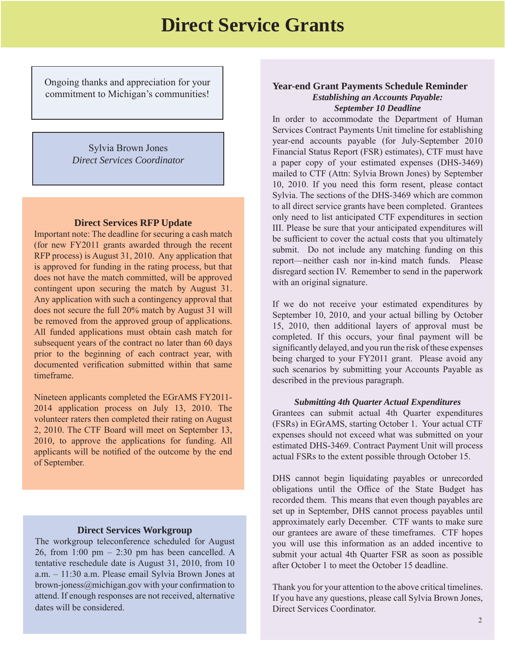### **Direct Service Grants**

Ongoing thanks and appreciation for your commitment to Michigan's communities!

ׇ֞֘֡

Sylvia Brown Jones *Direct Services Coordinator*

#### **Direct Services RFP Update**

Important note: The deadline for securing a cash match (for new FY2011 grants awarded through the recent RFP process) is August 31, 2010. Any application that is approved for funding in the rating process, but that does not have the match committed, will be approved contingent upon securing the match by August 31. Any application with such a contingency approval that does not secure the full 20% match by August 31 will be removed from the approved group of applications. All funded applications must obtain cash match for subsequent years of the contract no later than 60 days prior to the beginning of each contract year, with documented verification submitted within that same timeframe.

Nineteen applicants completed the EGrAMS FY2011- 2014 application process on July 13, 2010. The volunteer raters then completed their rating on August 2, 2010. The CTF Board will meet on September 13, 2010, to approve the applications for funding. All applicants will be notified of the outcome by the end of September.

#### **Direct Services Workgroup**

The workgroup teleconference scheduled for August 26, from 1:00 pm  $-$  2:30 pm has been cancelled. A tentative reschedule date is August 31, 2010, from 10 a.m. – 11:30 a.m. Please email Sylvia Brown Jones at brown-joness@michigan.gov with your confirmation to attend. If enough responses are not received, alternative dates will be considered.

#### **Year-end Grant Payments Schedule Reminder**  *Establishing an Accounts Payable: September 10 Deadline*

In order to accommodate the Department of Human Services Contract Payments Unit timeline for establishing year-end accounts payable (for July-September 2010 Financial Status Report (FSR) estimates), CTF must have a paper copy of your estimated expenses (DHS-3469) mailed to CTF (Attn: Sylvia Brown Jones) by September 10, 2010. If you need this form resent, please contact Sylvia. The sections of the DHS-3469 which are common to all direct service grants have been completed. Grantees only need to list anticipated CTF expenditures in section III. Please be sure that your anticipated expenditures will be sufficient to cover the actual costs that you ultimately submit. Do not include any matching funding on this report—neither cash nor in-kind match funds. Please disregard section IV. Remember to send in the paperwork with an original signature.

If we do not receive your estimated expenditures by September 10, 2010, and your actual billing by October 15, 2010, then additional layers of approval must be completed. If this occurs, your final payment will be significantly delayed, and you run the risk of these expenses being charged to your FY2011 grant. Please avoid any such scenarios by submitting your Accounts Payable as described in the previous paragraph.

#### *Submitting 4th Quarter Actual Expenditures*

Grantees can submit actual 4th Quarter expenditures (FSRs) in EGrAMS, starting October 1. Your actual CTF expenses should not exceed what was submitted on your estimated DHS-3469. Contract Payment Unit will process actual FSRs to the extent possible through October 15.

DHS cannot begin liquidating payables or unrecorded obligations until the Office of the State Budget has recorded them. This means that even though payables are set up in September, DHS cannot process payables until approximately early December. CTF wants to make sure our grantees are aware of these timeframes. CTF hopes you will use this information as an added incentive to submit your actual 4th Quarter FSR as soon as possible after October 1 to meet the October 15 deadline.

Thank you for your attention to the above critical timelines. If you have any questions, please call Sylvia Brown Jones, Direct Services Coordinator.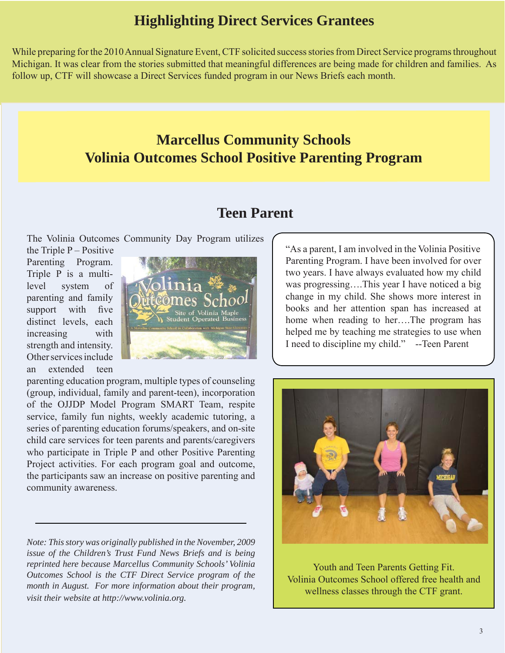### **Highlighting Direct Services Grantees**

While preparing for the 2010 Annual Signature Event, CTF solicited success stories from Direct Service programs throughout Michigan. It was clear from the stories submitted that meaningful differences are being made for children and families. As follow up, CTF will showcase a Direct Services funded program in our News Briefs each month.

### **Marcellus Community Schools Volinia Outcomes School Positive Parenting Program**

### **Teen Parent**

The Volinia Outcomes Community Day Program utilizes

the Triple  $P -$  Positive Parenting Program. Triple P is a multilevel system of parenting and family support with five distinct levels, each increasing with strength and intensity. Other services include an extended teen



parenting education program, multiple types of counseling (group, individual, family and parent-teen), incorporation of the OJJDP Model Program SMART Team, respite service, family fun nights, weekly academic tutoring, a series of parenting education forums/speakers, and on-site child care services for teen parents and parents/caregivers who participate in Triple P and other Positive Parenting Project activities. For each program goal and outcome, the participants saw an increase on positive parenting and community awareness.

*Note: This story was originally published in the November, 2009 issue of the Children's Trust Fund News Briefs and is being reprinted here because Marcellus Community Schools' Volinia Outcomes School is the CTF Direct Service program of the month in August. For more information about their program, visit their website at http://www.volinia.org.*

"As a parent, I am involved in the Volinia Positive Parenting Program. I have been involved for over two years. I have always evaluated how my child was progressing….This year I have noticed a big change in my child. She shows more interest in books and her attention span has increased at home when reading to her….The program has helped me by teaching me strategies to use when I need to discipline my child." --Teen Parent



Youth and Teen Parents Getting Fit. Volinia Outcomes School offered free health and wellness classes through the CTF grant.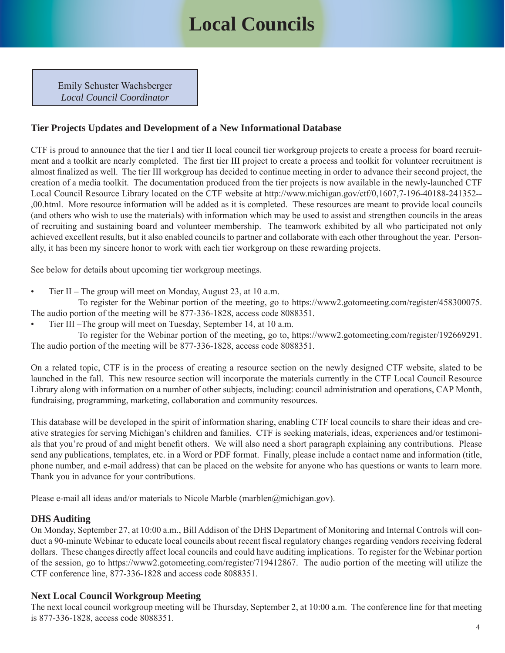### **Local Councils**

Emily Schuster Wachsberger *Local Council Coordinator*

### **Tier Projects Updates and Development of a New Informational Database**

CTF is proud to announce that the tier I and tier II local council tier workgroup projects to create a process for board recruitment and a toolkit are nearly completed. The first tier III project to create a process and toolkit for volunteer recruitment is almost finalized as well. The tier III workgroup has decided to continue meeting in order to advance their second project, the creation of a media toolkit. The documentation produced from the tier projects is now available in the newly-launched CTF Local Council Resource Library located on the CTF website at http://www.michigan.gov/ctf/0,1607,7-196-40188-241352-- [,00.html. More resource information will be added as it is completed. These resources are meant to provide local councils](http://www.michigan.gov/ctf/0,1607,7-196-40188-241352--,00.html)  (and others who wish to use the materials) with information which may be used to assist and strengthen councils in the areas of recruiting and sustaining board and volunteer membership. The teamwork exhibited by all who participated not only achieved excellent results, but it also enabled councils to partner and collaborate with each other throughout the year. Personally, it has been my sincere honor to work with each tier workgroup on these rewarding projects.

See below for details about upcoming tier workgroup meetings.

• Tier II – The group will meet on Monday, August 23, at 10 a.m.

 To register for the Webinar portion of the meeting, go to https://www2.gotomeeting.com/register/458300075. The audio portion of the meeting will be 877-336-1828, access code 8088351.

• Tier III –The group will meet on Tuesday, September 14, at 10 a.m.

 To register for the Webinar portion of the meeting, go to, https://www2.gotomeeting.com/register/192669291. The audio portion of the meeting will be 877-336-1828, access code 8088351.

On a related topic, CTF is in the process of creating a resource section on the newly designed CTF website, slated to be launched in the fall. This new resource section will incorporate the materials currently in the CTF Local Council Resource Library along with information on a number of other subjects, including: council administration and operations, CAP Month, fundraising, programming, marketing, collaboration and community resources.

This database will be developed in the spirit of information sharing, enabling CTF local councils to share their ideas and creative strategies for serving Michigan's children and families. CTF is seeking materials, ideas, experiences and/or testimonials that you're proud of and might benefit others. We will also need a short paragraph explaining any contributions. Please send any publications, templates, etc. in a Word or PDF format. Finally, please include a contact name and information (title, phone number, and e-mail address) that can be placed on the website for anyone who has questions or wants to learn more. Thank you in advance for your contributions.

Please e-mail all ideas and/or materials to Nicole Marble (marblen@michigan.gov).

### **DHS Auditing**

On Monday, September 27, at 10:00 a.m., Bill Addison of the DHS Department of Monitoring and Internal Controls will conduct a 90-minute Webinar to educate local councils about recent fiscal regulatory changes regarding vendors receiving federal dollars. These changes directly affect local councils and could have auditing implications. To register for the Webinar portion of the session, go to https://www2.gotomeeting.com/register/719412867. The audio portion of the meeting will utilize the CTF conference line, 877-336-1828 and access code 8088351.

### **Next Local Council Workgroup Meeting**

The next local council workgroup meeting will be Thursday, September 2, at 10:00 a.m. The conference line for that meeting is 877-336-1828, access code 8088351.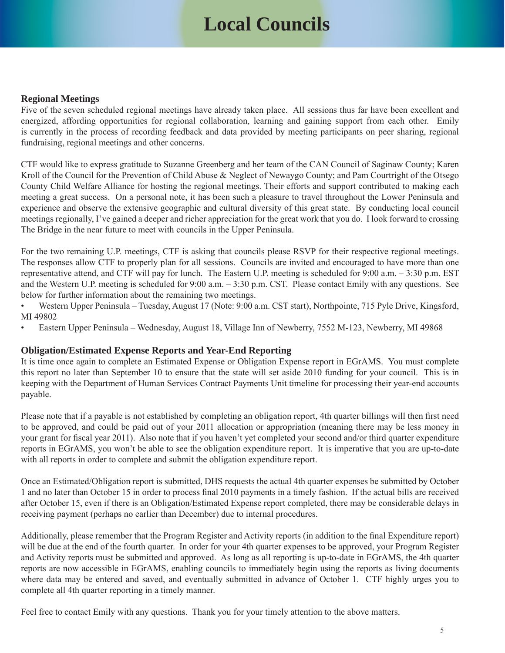## **Local Councils**

#### **Regional Meetings**

Five of the seven scheduled regional meetings have already taken place. All sessions thus far have been excellent and energized, affording opportunities for regional collaboration, learning and gaining support from each other. Emily is currently in the process of recording feedback and data provided by meeting participants on peer sharing, regional fundraising, regional meetings and other concerns.

CTF would like to express gratitude to Suzanne Greenberg and her team of the CAN Council of Saginaw County; Karen Kroll of the Council for the Prevention of Child Abuse & Neglect of Newaygo County; and Pam Courtright of the Otsego County Child Welfare Alliance for hosting the regional meetings. Their efforts and support contributed to making each meeting a great success. On a personal note, it has been such a pleasure to travel throughout the Lower Peninsula and experience and observe the extensive geographic and cultural diversity of this great state. By conducting local council meetings regionally, I've gained a deeper and richer appreciation for the great work that you do. I look forward to crossing The Bridge in the near future to meet with councils in the Upper Peninsula.

For the two remaining U.P. meetings, CTF is asking that councils please RSVP for their respective regional meetings. The responses allow CTF to properly plan for all sessions. Councils are invited and encouraged to have more than one representative attend, and CTF will pay for lunch. The Eastern U.P. meeting is scheduled for 9:00 a.m. – 3:30 p.m. EST and the Western U.P. meeting is scheduled for 9:00 a.m. – 3:30 p.m. CST. Please contact Emily with any questions. See below for further information about the remaining two meetings.

- Western Upper Peninsula Tuesday, August 17 (Note: 9:00 a.m. CST start), Northpointe, 715 Pyle Drive, Kingsford, MI 49802
- Eastern Upper Peninsula Wednesday, August 18, Village Inn of Newberry, 7552 M-123, Newberry, MI 49868

### **Obligation/Estimated Expense Reports and Year-End Reporting**

It is time once again to complete an Estimated Expense or Obligation Expense report in EGrAMS. You must complete this report no later than September 10 to ensure that the state will set aside 2010 funding for your council. This is in keeping with the Department of Human Services Contract Payments Unit timeline for processing their year-end accounts payable.

Please note that if a payable is not established by completing an obligation report, 4th quarter billings will then first need to be approved, and could be paid out of your 2011 allocation or appropriation (meaning there may be less money in your grant for fiscal year 2011). Also note that if you haven't yet completed your second and/or third quarter expenditure reports in EGrAMS, you won't be able to see the obligation expenditure report. It is imperative that you are up-to-date with all reports in order to complete and submit the obligation expenditure report.

Once an Estimated/Obligation report is submitted, DHS requests the actual 4th quarter expenses be submitted by October 1 and no later than October 15 in order to process final 2010 payments in a timely fashion. If the actual bills are received after October 15, even if there is an Obligation/Estimated Expense report completed, there may be considerable delays in receiving payment (perhaps no earlier than December) due to internal procedures.

Additionally, please remember that the Program Register and Activity reports (in addition to the final Expenditure report) will be due at the end of the fourth quarter. In order for your 4th quarter expenses to be approved, your Program Register and Activity reports must be submitted and approved. As long as all reporting is up-to-date in EGrAMS, the 4th quarter reports are now accessible in EGrAMS, enabling councils to immediately begin using the reports as living documents where data may be entered and saved, and eventually submitted in advance of October 1. CTF highly urges you to complete all 4th quarter reporting in a timely manner.

Feel free to contact Emily with any questions. Thank you for your timely attention to the above matters.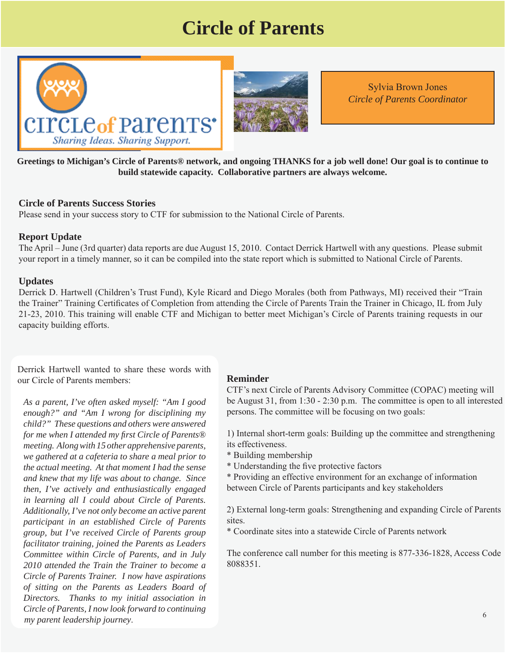### **Circle of Parents**





Sylvia Brown Jones *Circle of Parents Coordinator*

**Greetings to Michigan's Circle of Parents® network, and ongoing THANKS for a job well done! Our goal is to continue to build statewide capacity. Collaborative partners are always welcome.** 

#### **Circle of Parents Success Stories**

Please send in your success story to CTF for submission to the National Circle of Parents.

#### **Report Update**

The April – June (3rd quarter) data reports are due August 15, 2010. Contact Derrick Hartwell with any questions. Please submit your report in a timely manner, so it can be compiled into the state report which is submitted to National Circle of Parents.

#### **Updates**

Derrick D. Hartwell (Children's Trust Fund), Kyle Ricard and Diego Morales (both from Pathways, MI) received their "Train the Trainer" Training Certificates of Completion from attending the Circle of Parents Train the Trainer in Chicago, IL from July 21-23, 2010. This training will enable CTF and Michigan to better meet Michigan's Circle of Parents training requests in our capacity building efforts.

Derrick Hartwell wanted to share these words with our Circle of Parents members:

 \* Building membership *we gathered at a cafeteria to share a meal prior to the actual meeting. At that moment I had the sense*  $*$  Understanding the five protective factors *As a parent, I've often asked myself: "Am I good enough?" and "Am I wrong for disciplining my child?" These questions and others were answered for me when I attended my first Circle of Parents® meeting. Along with 15 other apprehensive parents, and knew that my life was about to change. Since then, I've actively and enthusiastically engaged in learning all I could about Circle of Parents. Additionally, I've not only become an active parent participant in an established Circle of Parents group, but I've received Circle of Parents group facilitator training, joined the Parents as Leaders Committee within Circle of Parents, and in July 2010 attended the Train the Trainer to become a Circle of Parents Trainer. I now have aspirations of sitting on the Parents as Leaders Board of Directors. Thanks to my initial association in Circle of Parents, I now look forward to continuing my parent leadership journey*.

#### **Reminder**

CTF's next Circle of Parents Advisory Committee (COPAC) meeting will be August 31, from 1:30 - 2:30 p.m. The committee is open to all interested persons. The committee will be focusing on two goals:

1) Internal short-term goals: Building up the committee and strengthening its effectiveness.

- 
- 
- \* Providing an effective environment for an exchange of information between Circle of Parents participants and key stakeholders

2) External long-term goals: Strengthening and expanding Circle of Parents sites.

\* Coordinate sites into a statewide Circle of Parents network

The conference call number for this meeting is 877-336-1828, Access Code 8088351.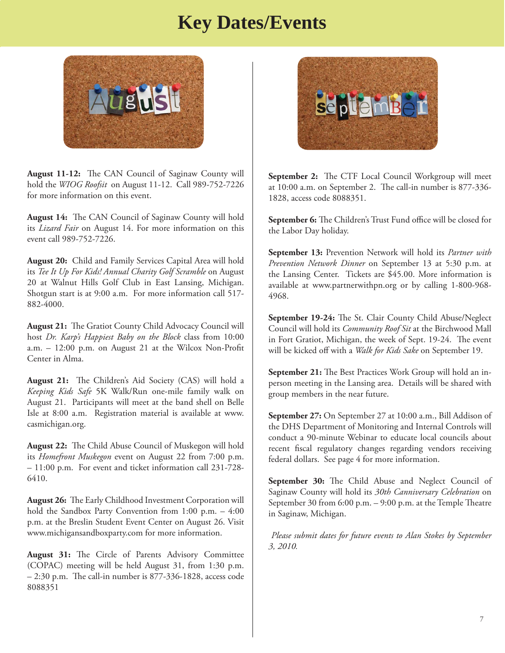### **Key Dates/Events**



**August 11-12:** The CAN Council of Saginaw County will hold the *WIOG Roofsit* on August 11-12. Call 989-752-7226 for more information on this event.

August 14: The CAN Council of Saginaw County will hold its *Lizard Fair* on August 14. For more information on this event call 989-752-7226.

**August 20:** Child and Family Services Capital Area will hold its *Tee It Up For Kids! Annual Charity Golf Scramble* on August 20 at Walnut Hills Golf Club in East Lansing, Michigan. Shotgun start is at 9:00 a.m. For more information call 517- 882-4000.

August 21: The Gratiot County Child Advocacy Council will host *Dr. Karp's Happiest Baby on the Block* class from 10:00 a.m.  $-12:00$  p.m. on August 21 at the Wilcox Non-Profit Center in Alma.

August 21: The Children's Aid Society (CAS) will hold a *Keeping Kids Safe* 5K Walk/Run one-mile family walk on August 21. Participants will meet at the band shell on Belle Isle at 8:00 a.m. Registration material is available at www. casmichigan.org.

**August 22:** The Child Abuse Council of Muskegon will hold its *Homefront Muskegon* event on August 22 from 7:00 p.m. – 11:00 p.m. For event and ticket information call 231-728- 6410.

**August 26:** The Early Childhood Investment Corporation will hold the Sandbox Party Convention from 1:00 p.m. – 4:00 p.m. at the Breslin Student Event Center on August 26. Visit www.michigansandboxparty.com for more information.

August 31: The Circle of Parents Advisory Committee (COPAC) meeting will be held August 31, from 1:30 p.m.  $-2:30$  p.m. The call-in number is 877-336-1828, access code 8088351



**September 2:** The CTF Local Council Workgroup will meet at 10:00 a.m. on September 2. The call-in number is 877-336-1828, access code 8088351.

September 6: The Children's Trust Fund office will be closed for the Labor Day holiday.

**September 13:** Prevention Network will hold its *Partner with Prevention Network Dinner* on September 13 at 5:30 p.m. at the Lansing Center. Tickets are \$45.00. More information is available at www.partnerwithpn.org or by calling 1-800-968- 4968.

**September 19-24:** The St. Clair County Child Abuse/Neglect Council will hold its *Community Roof Sit* at the Birchwood Mall in Fort Gratiot, Michigan, the week of Sept. 19-24. The event will be kicked off with a *Walk for Kids Sake* on September 19.

**September 21:** The Best Practices Work Group will hold an inperson meeting in the Lansing area. Details will be shared with group members in the near future.

**September 27:** On September 27 at 10:00 a.m., Bill Addison of the DHS Department of Monitoring and Internal Controls will conduct a 90-minute Webinar to educate local councils about recent fiscal regulatory changes regarding vendors receiving federal dollars. See page 4 for more information.

September 30: The Child Abuse and Neglect Council of Saginaw County will hold its *30th Canniversary Celebration* on September 30 from 6:00 p.m. - 9:00 p.m. at the Temple Theatre in Saginaw, Michigan.

*Please submit dates for future events to Alan Stokes by September 3, 2010.*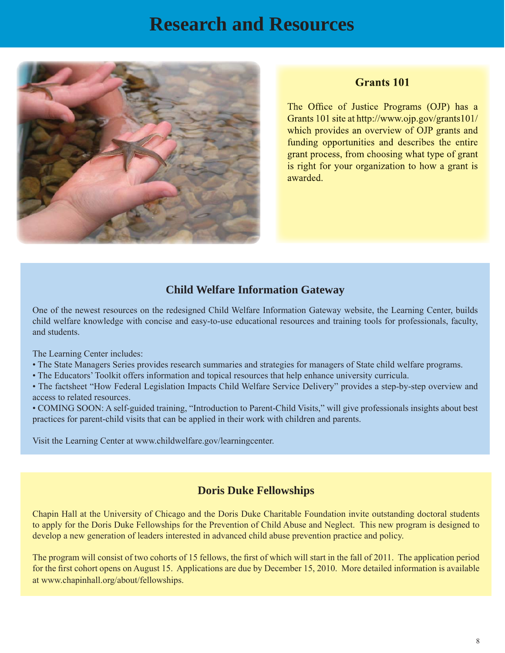### **Research and Resources**



### **Grants** 101

The Office of Justice Programs (OJP) has a Grants 101 site at http://www.ojp.gov/grants101/ which provides an overview of OJP grants and funding opportunities and describes the entire grant process, from choosing what type of grant is right for your organization to how a grant is awarded.

### **Child Welfare Information Gateway**

One of the newest resources on the redesigned Child Welfare Information Gateway website, the Learning Center, builds child welfare knowledge with concise and easy-to-use educational resources and training tools for professionals, faculty, and students.

The Learning Center includes:

- The State Managers Series provides research summaries and strategies for managers of State child welfare programs.
- The Educators' Toolkit offers information and topical resources that help enhance university curricula.

• The factsheet "How Federal Legislation Impacts Child Welfare Service Delivery" provides a step-by-step overview and access to related resources.

• COMING SOON: A self-guided training, "Introduction to Parent-Child Visits," will give professionals insights about best practices for parent-child visits that can be applied in their work with children and parents.

Visit the Learning Center at www.childwelfare.gov/learningcenter.

### **Doris Duke Fellowships**

Chapin Hall at the University of Chicago and the Doris Duke Charitable Foundation invite outstanding doctoral students to apply for the Doris Duke Fellowships for the Prevention of Child Abuse and Neglect. This new program is designed to develop a new generation of leaders interested in advanced child abuse prevention practice and policy.

The program will consist of two cohorts of 15 fellows, the first of which will start in the fall of 2011. The application period for the first cohort opens on August 15. Applications are due by December 15, 2010. More detailed information is available at www.chapinhall.org/about/fellowships.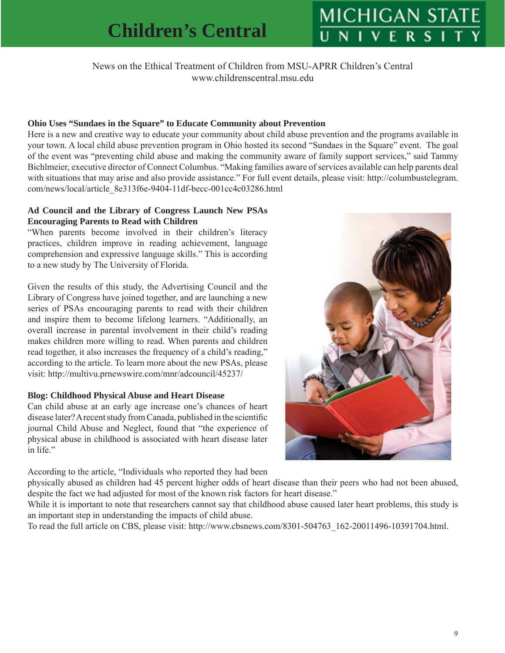# **MICHIGAN STAT**

News on the Ethical Treatment of Children from MSU-APRR Children's Central www.childrenscentral.msu.edu

### **Ohio Uses "Sundaes in the Square" to Educate Community about Prevention**

Here is a new and creative way to educate your community about child abuse prevention and the programs available in your town. A local child abuse prevention program in Ohio hosted its second "Sundaes in the Square" event. The goal of the event was "preventing child abuse and making the community aware of family support services," said Tammy Bichlmeier, executive director of Connect Columbus. "Making families aware of services available can help parents deal [with situations that may arise and also provide assistance." For full event details, please visit: http://columbustelegram.](http://columbustelegram.com/news/local/article_8e313f6e-9404-11df-becc-001cc4c03286.html) com/news/local/article\_8e313f6e-9404-11df-becc-001cc4c03286.html

#### **Ad Council and the Library of Congress Launch New PSAs Encouraging Parents to Read with Children**

"When parents become involved in their children's literacy practices, children improve in reading achievement, language comprehension and expressive language skills." This is according to a new study by The University of Florida.

Given the results of this study, the Advertising Council and the Library of Congress have joined together, and are launching a new series of PSAs encouraging parents to read with their children and inspire them to become lifelong learners. "Additionally, an overall increase in parental involvement in their child's reading makes children more willing to read. When parents and children read together, it also increases the frequency of a child's reading," according to the article. To learn more about the new PSAs, please visit: http://multivu.prnewswire.com/mnr/adcouncil/45237/

### **Blog: Childhood Physical Abuse and Heart Disease**

Can child abuse at an early age increase one's chances of heart disease later? A recent study from Canada, published in the scientific journal Child Abuse and Neglect, found that "the experience of physical abuse in childhood is associated with heart disease later in life."

According to the article, "Individuals who reported they had been



physically abused as children had 45 percent higher odds of heart disease than their peers who had not been abused, despite the fact we had adjusted for most of the known risk factors for heart disease."

While it is important to note that researchers cannot say that childhood abuse caused later heart problems, this study is an important step in understanding the impacts of child abuse.

To read the full article on CBS, please visit: http://www.cbsnews.com/8301-504763\_162-20011496-10391704.html.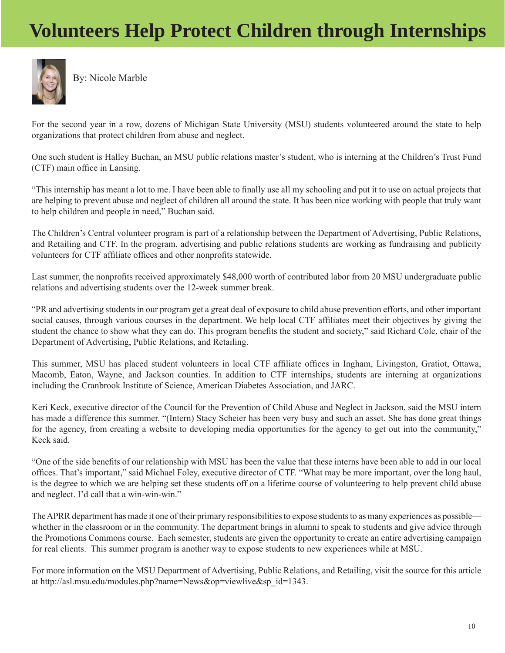### **Volunteers Help Protect Children through Internships**



By: Nicole Marble

For the second year in a row, dozens of Michigan State University (MSU) students volunteered around the state to help organizations that protect children from abuse and neglect.

One such student is Halley Buchan, an MSU public relations master's student, who is interning at the Children's Trust Fund (CTF) main office in Lansing.

"This internship has meant a lot to me. I have been able to finally use all my schooling and put it to use on actual projects that are helping to prevent abuse and neglect of children all around the state. It has been nice working with people that truly want to help children and people in need," Buchan said.

The Children's Central volunteer program is part of a relationship between the Department of Advertising, Public Relations, and Retailing and CTF. In the program, advertising and public relations students are working as fundraising and publicity volunteers for CTF affiliate offices and other nonprofits statewide.

Last summer, the nonprofits received approximately \$48,000 worth of contributed labor from 20 MSU undergraduate public relations and advertising students over the 12-week summer break.

"PR and advertising students in our program get a great deal of exposure to child abuse prevention efforts, and other important social causes, through various courses in the department. We help local CTF affiliates meet their objectives by giving the student the chance to show what they can do. This program benefits the student and society," said Richard Cole, chair of the Department of Advertising, Public Relations, and Retailing.

This summer, MSU has placed student volunteers in local CTF affiliate offices in Ingham, Livingston, Gratiot, Ottawa, Macomb, Eaton, Wayne, and Jackson counties. In addition to CTF internships, students are interning at organizations including the Cranbrook Institute of Science, American Diabetes Association, and JARC.

Keri Keck, executive director of the Council for the Prevention of Child Abuse and Neglect in Jackson, said the MSU intern has made a difference this summer. "(Intern) Stacy Scheier has been very busy and such an asset. She has done great things for the agency, from creating a website to developing media opportunities for the agency to get out into the community," Keck said.

"One of the side benefits of our relationship with MSU has been the value that these interns have been able to add in our local offices. That's important," said Michael Foley, executive director of CTF. "What may be more important, over the long haul, is the degree to which we are helping set these students off on a lifetime course of volunteering to help prevent child abuse and neglect. I'd call that a win-win-win."

The APRR department has made it one of their primary responsibilities to expose students to as many experiences as possible whether in the classroom or in the community. The department brings in alumni to speak to students and give advice through the Promotions Commons course. Each semester, students are given the opportunity to create an entire advertising campaign for real clients. This summer program is another way to expose students to new experiences while at MSU.

For more information on the MSU Department of Advertising, Public Relations, and Retailing, visit the source for this article at http://asl.msu.edu/modules.php?name=News&op=viewlive&sp\_id=1343.